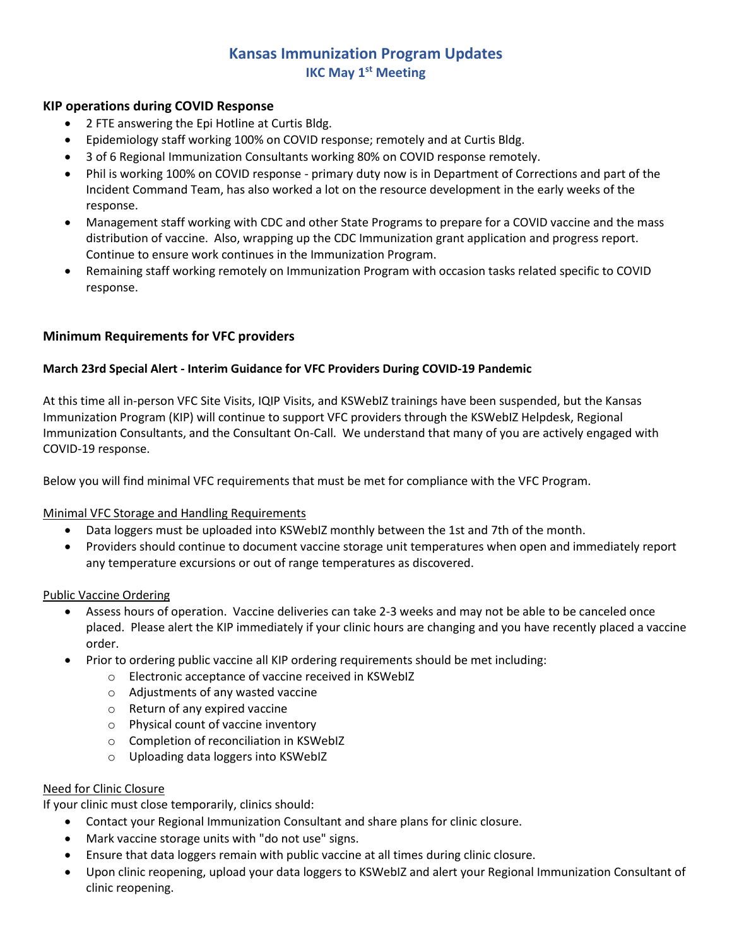# **Kansas Immunization Program Updates IKC May 1 st Meeting**

# **KIP operations during COVID Response**

- 2 FTE answering the Epi Hotline at Curtis Bldg.
- Epidemiology staff working 100% on COVID response; remotely and at Curtis Bldg.
- 3 of 6 Regional Immunization Consultants working 80% on COVID response remotely.
- Phil is working 100% on COVID response primary duty now is in Department of Corrections and part of the Incident Command Team, has also worked a lot on the resource development in the early weeks of the response.
- Management staff working with CDC and other State Programs to prepare for a COVID vaccine and the mass distribution of vaccine. Also, wrapping up the CDC Immunization grant application and progress report. Continue to ensure work continues in the Immunization Program.
- Remaining staff working remotely on Immunization Program with occasion tasks related specific to COVID response.

# **Minimum Requirements for VFC providers**

#### **March 23rd Special Alert - Interim Guidance for VFC Providers During COVID-19 Pandemic**

At this time all in-person VFC Site Visits, IQIP Visits, and KSWebIZ trainings have been suspended, but the Kansas Immunization Program (KIP) will continue to support VFC providers through the KSWebIZ Helpdesk, Regional Immunization Consultants, and the Consultant On-Call. We understand that many of you are actively engaged with COVID-19 response.

Below you will find minimal VFC requirements that must be met for compliance with the VFC Program.

# Minimal VFC Storage and Handling Requirements

- Data loggers must be uploaded into KSWebIZ monthly between the 1st and 7th of the month.
- Providers should continue to document vaccine storage unit temperatures when open and immediately report any temperature excursions or out of range temperatures as discovered.

#### Public Vaccine Ordering

- Assess hours of operation. Vaccine deliveries can take 2-3 weeks and may not be able to be canceled once placed. Please alert the KIP immediately if your clinic hours are changing and you have recently placed a vaccine order.
- Prior to ordering public vaccine all KIP ordering requirements should be met including:
	- o Electronic acceptance of vaccine received in KSWebIZ
	- o Adjustments of any wasted vaccine
	- o Return of any expired vaccine
	- o Physical count of vaccine inventory
	- o Completion of reconciliation in KSWebIZ
	- o Uploading data loggers into KSWebIZ

#### Need for Clinic Closure

If your clinic must close temporarily, clinics should:

- Contact your Regional Immunization Consultant and share plans for clinic closure.
- Mark vaccine storage units with "do not use" signs.
- Ensure that data loggers remain with public vaccine at all times during clinic closure.
- Upon clinic reopening, upload your data loggers to KSWebIZ and alert your Regional Immunization Consultant of clinic reopening.